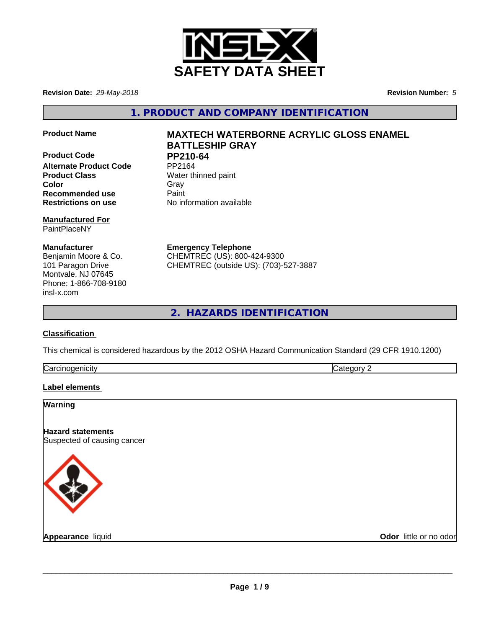

**Revision Date:** *29-May-2018* **Revision Number:** *5*

**1. PRODUCT AND COMPANY IDENTIFICATION**

**Product Code PP210-64**<br>Alternate Product Code PP2164 **Alternate Product Code Product Class** Water thinned paint **Color** Gray Gray **Recommended use** Paint **Restrictions on use** No information available

**Manufactured For** PaintPlaceNY

**Manufacturer** Benjamin Moore & Co. 101 Paragon Drive Montvale, NJ 07645 Phone: 1-866-708-9180 insl-x.com

# **Product Name MAXTECH WATERBORNE ACRYLIC GLOSS ENAMEL BATTLESHIP GRAY**

**Emergency Telephone** CHEMTREC (US): 800-424-9300 CHEMTREC (outside US): (703)-527-3887

**2. HAZARDS IDENTIFICATION**

# **Classification**

This chemical is considered hazardous by the 2012 OSHA Hazard Communication Standard (29 CFR 1910.1200)

| ∽<br>Ndi<br>. HV |  |
|------------------|--|
|                  |  |

# **Label elements**

| <b>Warning</b>                                          |                        |
|---------------------------------------------------------|------------------------|
| <b>Hazard statements</b><br>Suspected of causing cancer |                        |
|                                                         |                        |
| Appearance liquid                                       | Odor little or no odor |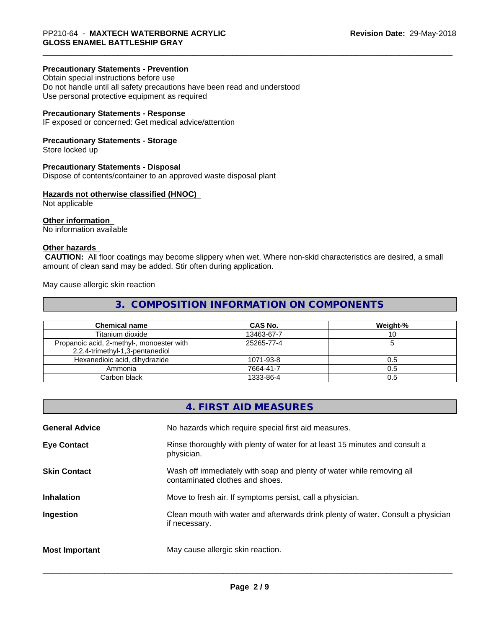## **Precautionary Statements - Prevention**

Obtain special instructions before use Do not handle until all safety precautions have been read and understood Use personal protective equipment as required

## **Precautionary Statements - Response**

IF exposed or concerned: Get medical advice/attention

## **Precautionary Statements - Storage**

Store locked up

## **Precautionary Statements - Disposal**

Dispose of contents/container to an approved waste disposal plant

# **Hazards not otherwise classified (HNOC)**

Not applicable

## **Other information**

No information available

# **Other hazards**

 **CAUTION:** All floor coatings may become slippery when wet. Where non-skid characteristics are desired, a small amount of clean sand may be added. Stir often during application.

May cause allergic skin reaction

# **3. COMPOSITION INFORMATION ON COMPONENTS**

| <b>Chemical name</b>                                                         | CAS No.    | Weight-% |
|------------------------------------------------------------------------------|------------|----------|
| Titanium dioxide                                                             | 13463-67-7 |          |
| Propanoic acid, 2-methyl-, monoester with<br>2,2,4-trimethyl-1,3-pentanediol | 25265-77-4 |          |
| Hexanedioic acid, dihydrazide                                                | 1071-93-8  | 0.5      |
| Ammonia                                                                      | 7664-41-7  | 0.5      |
| Carbon black                                                                 | 1333-86-4  | 0.5      |

|                       | 4. FIRST AID MEASURES                                                                                    |
|-----------------------|----------------------------------------------------------------------------------------------------------|
| <b>General Advice</b> | No hazards which require special first aid measures.                                                     |
| <b>Eye Contact</b>    | Rinse thoroughly with plenty of water for at least 15 minutes and consult a<br>physician.                |
| <b>Skin Contact</b>   | Wash off immediately with soap and plenty of water while removing all<br>contaminated clothes and shoes. |
| <b>Inhalation</b>     | Move to fresh air. If symptoms persist, call a physician.                                                |
| Ingestion             | Clean mouth with water and afterwards drink plenty of water. Consult a physician<br>if necessary.        |
| <b>Most Important</b> | May cause allergic skin reaction.                                                                        |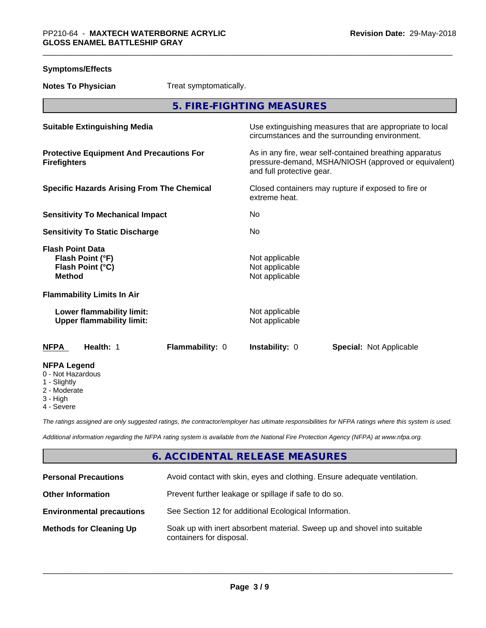| <b>Symptoms/Effects</b>                                                          |                        |                                                    |                                                                                                                 |
|----------------------------------------------------------------------------------|------------------------|----------------------------------------------------|-----------------------------------------------------------------------------------------------------------------|
| <b>Notes To Physician</b>                                                        | Treat symptomatically. |                                                    |                                                                                                                 |
|                                                                                  |                        | 5. FIRE-FIGHTING MEASURES                          |                                                                                                                 |
| <b>Suitable Extinguishing Media</b>                                              |                        |                                                    | Use extinguishing measures that are appropriate to local<br>circumstances and the surrounding environment.      |
| <b>Protective Equipment And Precautions For</b><br><b>Firefighters</b>           |                        | and full protective gear.                          | As in any fire, wear self-contained breathing apparatus<br>pressure-demand, MSHA/NIOSH (approved or equivalent) |
| <b>Specific Hazards Arising From The Chemical</b>                                |                        | extreme heat.                                      | Closed containers may rupture if exposed to fire or                                                             |
| <b>Sensitivity To Mechanical Impact</b>                                          |                        | No.                                                |                                                                                                                 |
| <b>Sensitivity To Static Discharge</b>                                           |                        | No.                                                |                                                                                                                 |
| <b>Flash Point Data</b><br>Flash Point (°F)<br>Flash Point (°C)<br><b>Method</b> |                        | Not applicable<br>Not applicable<br>Not applicable |                                                                                                                 |
| <b>Flammability Limits In Air</b>                                                |                        |                                                    |                                                                                                                 |
| Lower flammability limit:<br><b>Upper flammability limit:</b>                    |                        | Not applicable<br>Not applicable                   |                                                                                                                 |
| Health: 1<br><b>NFPA</b>                                                         | Flammability: 0        | Instability: 0                                     | <b>Special: Not Applicable</b>                                                                                  |
| <b>NFPA Legend</b><br>0 - Not Hazardous<br>1 - Slightly<br>2 - Moderate          |                        |                                                    |                                                                                                                 |

- 3 High
- 4 Severe

*The ratings assigned are only suggested ratings, the contractor/employer has ultimate responsibilities for NFPA ratings where this system is used.*

*Additional information regarding the NFPA rating system is available from the National Fire Protection Agency (NFPA) at www.nfpa.org.*

# **6. ACCIDENTAL RELEASE MEASURES**

| <b>Personal Precautions</b>      | Avoid contact with skin, eyes and clothing. Ensure adequate ventilation.                             |
|----------------------------------|------------------------------------------------------------------------------------------------------|
| <b>Other Information</b>         | Prevent further leakage or spillage if safe to do so.                                                |
| <b>Environmental precautions</b> | See Section 12 for additional Ecological Information.                                                |
| <b>Methods for Cleaning Up</b>   | Soak up with inert absorbent material. Sweep up and shovel into suitable<br>containers for disposal. |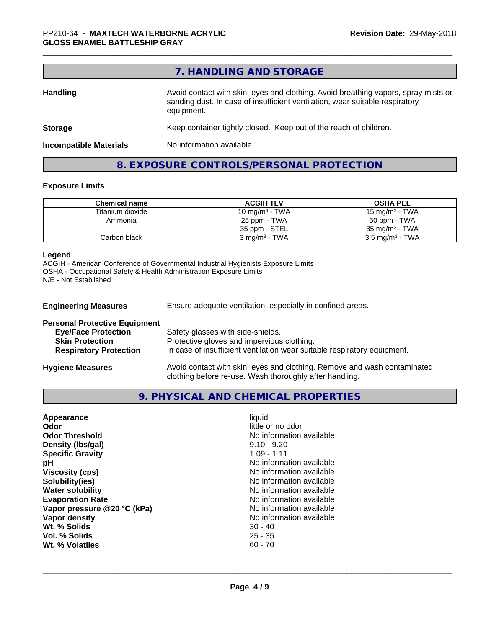|                               | 7. HANDLING AND STORAGE                                                                                                                                                          |
|-------------------------------|----------------------------------------------------------------------------------------------------------------------------------------------------------------------------------|
| <b>Handling</b>               | Avoid contact with skin, eyes and clothing. Avoid breathing vapors, spray mists or<br>sanding dust. In case of insufficient ventilation, wear suitable respiratory<br>equipment. |
| <b>Storage</b>                | Keep container tightly closed. Keep out of the reach of children.                                                                                                                |
| <b>Incompatible Materials</b> | No information available                                                                                                                                                         |
|                               | 8. EXPOSURE CONTROLS/PERSONAL PROTECTION                                                                                                                                         |

# **Exposure Limits**

| <b>Chemical name</b> | <b>ACGIH TLV</b>            | <b>OSHA PEL</b>            |
|----------------------|-----------------------------|----------------------------|
| Titanium dioxide     | 10 mg/m $3$ - TWA           | 15 mg/m $3$ - TWA          |
| Ammonia              | 25 ppm - TWA                | 50 ppm - TWA               |
|                      | 35 ppm - STEL               | $35 \text{ ma/m}^3$ - TWA  |
| Carbon black         | $3$ mg/m <sup>3</sup> - TWA | $3.5 \text{ mg/m}^3$ - TWA |

# **Legend**

ACGIH - American Conference of Governmental Industrial Hygienists Exposure Limits OSHA - Occupational Safety & Health Administration Exposure Limits N/E - Not Established

| <b>Engineering Measures</b>          | Ensure adequate ventilation, especially in confined areas.                                                                          |
|--------------------------------------|-------------------------------------------------------------------------------------------------------------------------------------|
| <b>Personal Protective Equipment</b> |                                                                                                                                     |
| <b>Eye/Face Protection</b>           | Safety glasses with side-shields.                                                                                                   |
| <b>Skin Protection</b>               | Protective gloves and impervious clothing.                                                                                          |
| <b>Respiratory Protection</b>        | In case of insufficient ventilation wear suitable respiratory equipment.                                                            |
| <b>Hygiene Measures</b>              | Avoid contact with skin, eyes and clothing. Remove and wash contaminated<br>clothing before re-use. Wash thoroughly after handling. |

# **9. PHYSICAL AND CHEMICAL PROPERTIES**

| Appearance                  | liauid                   |
|-----------------------------|--------------------------|
| Odor                        | little or no odor        |
| <b>Odor Threshold</b>       | No information available |
| Density (Ibs/gal)           | $9.10 - 9.20$            |
| <b>Specific Gravity</b>     | $1.09 - 1.11$            |
| рH                          | No information available |
| <b>Viscosity (cps)</b>      | No information available |
| Solubility(ies)             | No information available |
| <b>Water solubility</b>     | No information available |
| <b>Evaporation Rate</b>     | No information available |
| Vapor pressure @20 °C (kPa) | No information available |
| Vapor density               | No information available |
| Wt. % Solids                | $30 - 40$                |
| Vol. % Solids               | $25 - 35$                |
| Wt. % Volatiles             | $60 - 70$                |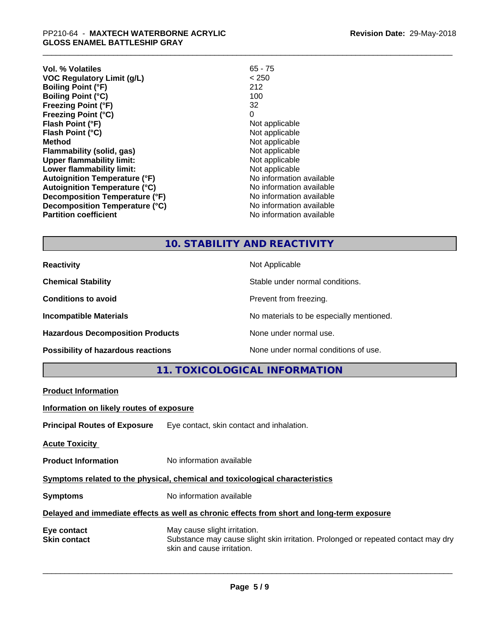| Vol. % Volatiles                     | $65 - 75$                |  |
|--------------------------------------|--------------------------|--|
| VOC Regulatory Limit (g/L)           | < 250                    |  |
| <b>Boiling Point (°F)</b>            | 212                      |  |
| <b>Boiling Point (°C)</b>            | 100                      |  |
| <b>Freezing Point (°F)</b>           | 32                       |  |
| Freezing Point (°C)                  | 0                        |  |
| Flash Point (°F)                     | Not applicable           |  |
| Flash Point (°C)                     | Not applicable           |  |
| Method                               | Not applicable           |  |
| Flammability (solid, gas)            | Not applicable           |  |
| <b>Upper flammability limit:</b>     | Not applicable           |  |
| Lower flammability limit:            | Not applicable           |  |
| <b>Autoignition Temperature (°F)</b> | No information available |  |
| <b>Autoignition Temperature (°C)</b> | No information available |  |
| Decomposition Temperature (°F)       | No information available |  |
| Decomposition Temperature (°C)       | No information available |  |
| <b>Partition coefficient</b>         | No information available |  |
|                                      |                          |  |

**10. STABILITY AND REACTIVITY**

**Product Information**

**Hazardous Decomposition Products** None under normal use.

**Reactivity Not Applicable Not Applicable** 

**Chemical Stability Chemical Stability** Stable under normal conditions.

**Conditions to avoid Conditions to avoid Prevent from freezing.** 

**Incompatible Materials Incompatible Materials No materials to be especially mentioned.** 

**Possibility of hazardous reactions** None under normal conditions of use.

**11. TOXICOLOGICAL INFORMATION**

| Information on likely routes of exposure                                                   |                                                                                                                                                 |  |  |
|--------------------------------------------------------------------------------------------|-------------------------------------------------------------------------------------------------------------------------------------------------|--|--|
| <b>Principal Routes of Exposure</b>                                                        | Eye contact, skin contact and inhalation.                                                                                                       |  |  |
| <b>Acute Toxicity</b>                                                                      |                                                                                                                                                 |  |  |
| <b>Product Information</b>                                                                 | No information available                                                                                                                        |  |  |
| Symptoms related to the physical, chemical and toxicological characteristics               |                                                                                                                                                 |  |  |
| <b>Symptoms</b>                                                                            | No information available                                                                                                                        |  |  |
| Delayed and immediate effects as well as chronic effects from short and long-term exposure |                                                                                                                                                 |  |  |
| Eye contact<br><b>Skin contact</b>                                                         | May cause slight irritation.<br>Substance may cause slight skin irritation. Prolonged or repeated contact may dry<br>skin and cause irritation. |  |  |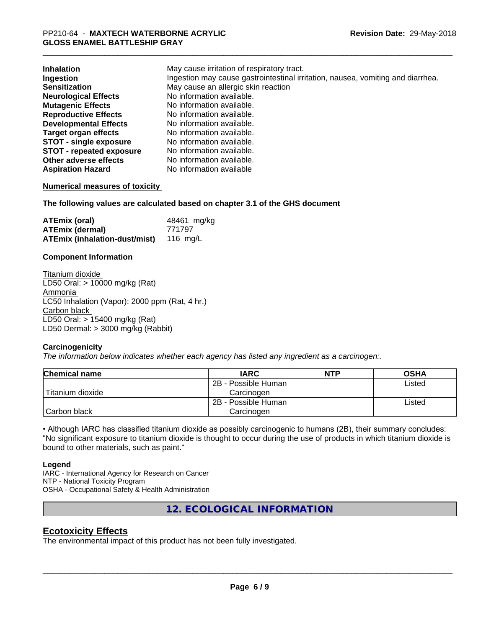| <b>Inhalation</b>               | May cause irritation of respiratory tract.                                      |
|---------------------------------|---------------------------------------------------------------------------------|
| Ingestion                       | Ingestion may cause gastrointestinal irritation, nausea, vomiting and diarrhea. |
| <b>Sensitization</b>            | May cause an allergic skin reaction                                             |
| <b>Neurological Effects</b>     | No information available.                                                       |
| <b>Mutagenic Effects</b>        | No information available.                                                       |
| <b>Reproductive Effects</b>     | No information available.                                                       |
| <b>Developmental Effects</b>    | No information available.                                                       |
| <b>Target organ effects</b>     | No information available.                                                       |
| <b>STOT - single exposure</b>   | No information available.                                                       |
| <b>STOT - repeated exposure</b> | No information available.                                                       |
| Other adverse effects           | No information available.                                                       |
| <b>Aspiration Hazard</b>        | No information available                                                        |

## **Numerical measures of toxicity**

**The following values are calculated based on chapter 3.1 of the GHS document**

| ATEmix (oral)                                 | 48461 mg/kg |
|-----------------------------------------------|-------------|
| <b>ATEmix (dermal)</b>                        | 771797      |
| <b>ATEmix (inhalation-dust/mist)</b> 116 mg/L |             |

## **Component Information**

Titanium dioxide LD50 Oral: > 10000 mg/kg (Rat) Ammonia LC50 Inhalation (Vapor): 2000 ppm (Rat, 4 hr.) Carbon black LD50 Oral: > 15400 mg/kg (Rat) LD50 Dermal: > 3000 mg/kg (Rabbit)

## **Carcinogenicity**

*The information below indicateswhether each agency has listed any ingredient as a carcinogen:.*

| Chemical name    | <b>IARC</b>         | <b>NTP</b> | <b>OSHA</b> |  |
|------------------|---------------------|------------|-------------|--|
|                  | 2B - Possible Human |            | Listed      |  |
| Titanium dioxide | Carcinoɑen          |            |             |  |
|                  | 2B - Possible Human |            | Listed      |  |
| Carbon black     | Carcinogen          |            |             |  |

• Although IARC has classified titanium dioxide as possibly carcinogenic to humans (2B), their summary concludes: "No significant exposure to titanium dioxide is thought to occur during the use of products in which titanium dioxide is bound to other materials, such as paint."

## **Legend**

IARC - International Agency for Research on Cancer NTP - National Toxicity Program OSHA - Occupational Safety & Health Administration

**12. ECOLOGICAL INFORMATION**

# **Ecotoxicity Effects**

The environmental impact of this product has not been fully investigated.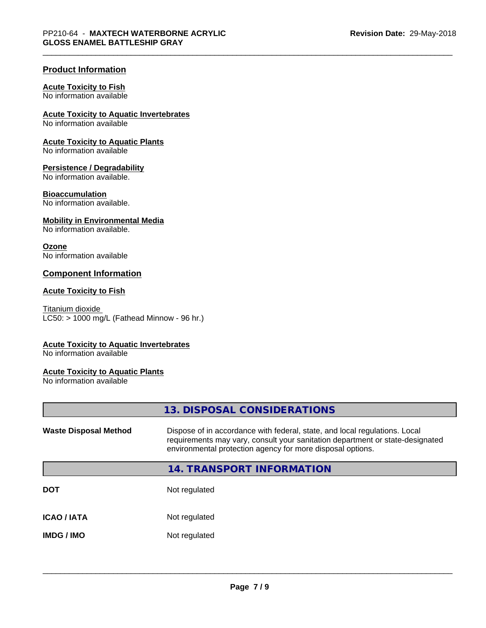# **Product Information**

#### **Acute Toxicity to Fish**

No information available

# **Acute Toxicity to Aquatic Invertebrates**

No information available

# **Acute Toxicity to Aquatic Plants**

No information available

#### **Persistence / Degradability**

No information available.

## **Bioaccumulation**

No information available.

# **Mobility in Environmental Media**

No information available.

#### **Ozone**

No information available

# **Component Information**

#### **Acute Toxicity to Fish**

Titanium dioxide  $LC50:$  > 1000 mg/L (Fathead Minnow - 96 hr.)

## **Acute Toxicity to Aquatic Invertebrates**

No information available

## **Acute Toxicity to Aquatic Plants**

No information available

|                              | 13. DISPOSAL CONSIDERATIONS                                                                                                                                                                                               |
|------------------------------|---------------------------------------------------------------------------------------------------------------------------------------------------------------------------------------------------------------------------|
| <b>Waste Disposal Method</b> | Dispose of in accordance with federal, state, and local regulations. Local<br>requirements may vary, consult your sanitation department or state-designated<br>environmental protection agency for more disposal options. |
|                              | <b>14. TRANSPORT INFORMATION</b>                                                                                                                                                                                          |
| <b>DOT</b>                   | Not regulated                                                                                                                                                                                                             |
| <b>ICAO / IATA</b>           | Not regulated                                                                                                                                                                                                             |
| <b>IMDG/IMO</b>              | Not regulated                                                                                                                                                                                                             |
|                              |                                                                                                                                                                                                                           |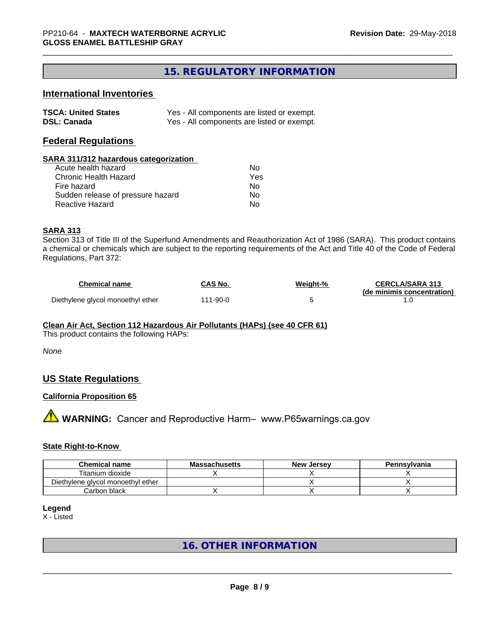# **15. REGULATORY INFORMATION**

# **International Inventories**

| <b>TSCA: United States</b> | Yes - All components are listed or exempt. |
|----------------------------|--------------------------------------------|
| <b>DSL: Canada</b>         | Yes - All components are listed or exempt. |

# **Federal Regulations**

#### **SARA 311/312 hazardous categorization**

| Acute health hazard               | Nο  |  |
|-----------------------------------|-----|--|
| Chronic Health Hazard             | Yes |  |
| Fire hazard                       | Nο  |  |
| Sudden release of pressure hazard | Nο  |  |
| Reactive Hazard                   | N٥  |  |

# **SARA 313**

Section 313 of Title III of the Superfund Amendments and Reauthorization Act of 1986 (SARA). This product contains a chemical or chemicals which are subject to the reporting requirements of the Act and Title 40 of the Code of Federal Regulations, Part 372:

| <b>Chemical name</b>              | CAS No.  | Weight-% | <b>CERCLA/SARA 313</b>     |
|-----------------------------------|----------|----------|----------------------------|
|                                   |          |          | (de minimis concentration) |
| Diethylene glycol monoethyl ether | 111-90-0 |          |                            |

## **Clean Air Act,Section 112 Hazardous Air Pollutants (HAPs) (see 40 CFR 61)**

This product contains the following HAPs:

*None*

# **US State Regulations**

## **California Proposition 65**

**AVIMARNING:** Cancer and Reproductive Harm– www.P65warnings.ca.gov

## **State Right-to-Know**

| <b>Chemical name</b>              | <b>Massachusetts</b> | <b>New Jersey</b> | Pennsylvania |
|-----------------------------------|----------------------|-------------------|--------------|
| Titanium dioxide                  |                      |                   |              |
| Diethylene glycol monoethyl ether |                      |                   |              |
| Carbon black                      |                      |                   |              |

#### **Legend**

X - Listed

# **16. OTHER INFORMATION**